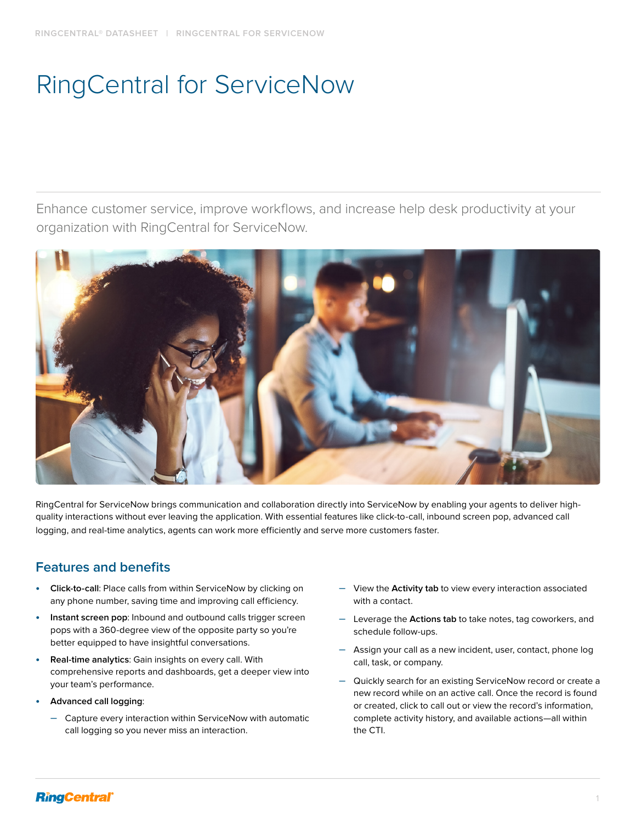# RingCentral for ServiceNow

Enhance customer service, improve workflows, and increase help desk productivity at your organization with RingCentral for ServiceNow.



RingCentral for ServiceNow brings communication and collaboration directly into ServiceNow by enabling your agents to deliver highquality interactions without ever leaving the application. With essential features like click-to-call, inbound screen pop, advanced call logging, and real-time analytics, agents can work more efficiently and serve more customers faster.

# **Features and benefits**

- **• Click-to-call**: Place calls from within ServiceNow by clicking on any phone number, saving time and improving call efficiency.
- **• Instant screen pop**: Inbound and outbound calls trigger screen pops with a 360-degree view of the opposite party so you're better equipped to have insightful conversations.
- **• Real-time analytics**: Gain insights on every call. With comprehensive reports and dashboards, get a deeper view into your team's performance.
- **• Advanced call logging**:
	- Capture every interaction within ServiceNow with automatic call logging so you never miss an interaction.
- View the **Activity tab** to view every interaction associated with a contact.
- Leverage the **Actions tab** to take notes, tag coworkers, and schedule follow-ups.
- Assign your call as a new incident, user, contact, phone log call, task, or company.
- Quickly search for an existing ServiceNow record or create a new record while on an active call. Once the record is found or created, click to call out or view the record's information, complete activity history, and available actions—all within the CTI.

## **RingCentral**®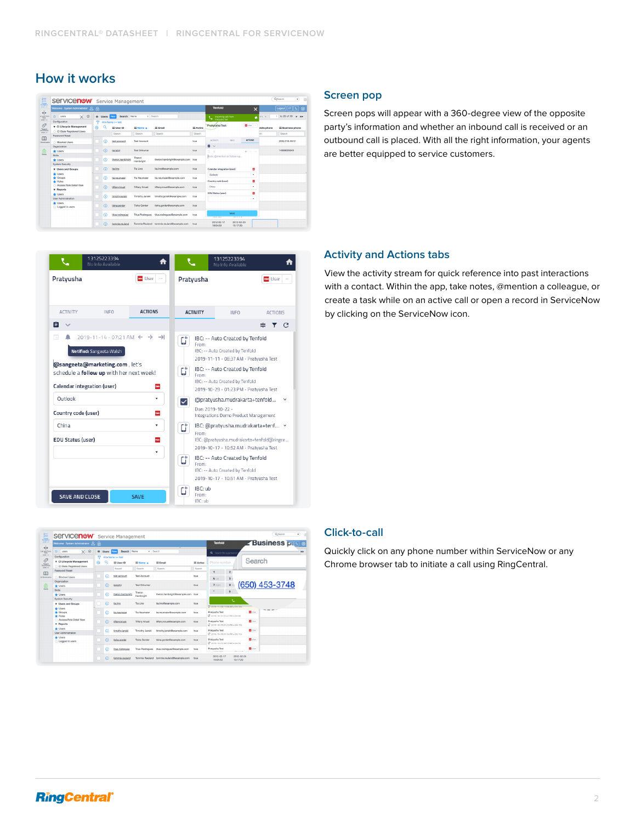## **How it works**

| 驅                                                                                                                      | Servicenow Service Management                                                                                                                |        |                |                                        |                                  |                                             |                    |                                                   |                                    |             | Q Search<br>$\boxed{\bullet}$<br>۰ |  |  |
|------------------------------------------------------------------------------------------------------------------------|----------------------------------------------------------------------------------------------------------------------------------------------|--------|----------------|----------------------------------------|----------------------------------|---------------------------------------------|--------------------|---------------------------------------------------|------------------------------------|-------------|------------------------------------|--|--|
|                                                                                                                        | Welcome: System Administrator &                                                                                                              |        | <b>Tenfold</b> | $\times$                               |                                  | Logout<br>76.                               |                    |                                                   |                                    |             |                                    |  |  |
| $\left\Vert \cdot\right\Vert$<br>at and Form<br>$end + v$                                                              | $\times$ 0<br>÷.<br>users                                                                                                                    |        | Users Now      | Search Name                            | $v$ Search                       |                                             |                    | Incoming call from<br>Pratuusha Test              | ٠                                  | $44 - 4$    | to 20 of 50<br>f.<br>$\mathbf{F}$  |  |  |
| $\mathcal{O}^{\prime}$                                                                                                 | Configuration<br><b>v</b> Cl Lifecycle Management                                                                                            | v<br>疹 | o              | All > Name >= test<br>$\equiv$ User ID | $\equiv$ Name $\angle$<br>Search | $\equiv$ Email<br>Search                    | = Active<br>Search | <b>Pratyusha Test</b>                             | $\blacksquare$ User $\blacksquare$ | obile phone | E Business phone                   |  |  |
| $\begin{array}{r} \texttt{Dogord} \\ \texttt{0.00374} \texttt{cm} \\ \texttt{0.004} \texttt{+1} \end{array}$<br>$\Box$ | CI State Registered Users<br><b>Passwort Reset</b>                                                                                           |        |                | Search                                 |                                  |                                             |                    |                                                   |                                    | kb.         | Search                             |  |  |
| I Brekmarks                                                                                                            | Rinclord Lisers                                                                                                                              |        | ന              | test.account                           | Test Arrowed                     |                                             | true               | <b>ACTIONS</b><br>IMFO.<br><b>ACTIVITY</b>        |                                    |             | (205) 216-3512                     |  |  |
| $\lim_{n \to \infty}$                                                                                                  | Organization<br><b>W</b> Users                                                                                                               |        | ന              | (empty)                                | Test Sciences                    |                                             | true               | $n \vee$<br>$\Box$ $A$<br>ı                       | $\Delta \rightarrow 0$             |             | 14088028349                        |  |  |
|                                                                                                                        | Skills.<br><b>dr</b> Users<br>System Security                                                                                                |        | ന              | theron.hambright                       | Theron<br>Hambright              | theron.hambright@example.com true           |                    | Note, dimention or follow-up                      |                                    |             |                                    |  |  |
|                                                                                                                        | <b>v</b> Users and Groups<br>+ Users<br>* Groups<br>* Roles<br>Access Role Detail View<br><b>v</b> Reports<br>+ Users<br>User Administration |        | ⋒              | tia.lino                               | Tin Lino                         | tia.lino@example.com                        | true               | Calendar integration (user)<br>۰                  |                                    |             |                                    |  |  |
|                                                                                                                        |                                                                                                                                              |        | ന              | tia neumaier                           | <b>Tia Neumaier</b>              | tia.neumaier@example.com                    | true               | Outlook<br>Country code (user)                    | ٠<br>۰                             |             |                                    |  |  |
|                                                                                                                        |                                                                                                                                              |        | т              | tiffany.knust                          | Tittany Knust                    | tiffany.knust@example.com                   | true               | China                                             | ٠                                  |             |                                    |  |  |
|                                                                                                                        |                                                                                                                                              |        | ന              | timothy.janski                         | Timothy Janski                   | timothy.janski@example.com                  | true               | <b>EDU Status (user)</b>                          | ۰<br>٠                             |             |                                    |  |  |
|                                                                                                                        | <b>dr</b> Users<br>the Logged in users                                                                                                       |        | ⋒              | tisha.gorder                           | Tisha Gorder                     | tisha.gorder@example.com                    | true               |                                                   |                                    |             |                                    |  |  |
|                                                                                                                        |                                                                                                                                              |        | ന              | titus.rodreguez                        |                                  | Titus Rodreguez titus.rodreguez@example.com | true               | SAVE<br><b>TELEVISION</b><br><b>TRY 1 1 1 1 1</b> |                                    |             |                                    |  |  |
|                                                                                                                        |                                                                                                                                              |        | m              | tommie reuland                         |                                  | Tommie Reuland tommie.reuland@example.com   | true               | 2012-02-25<br>2012-02-17<br>13:17:20<br>19:04:53  |                                    |             |                                    |  |  |

|                                                                                                                                                         | 13125223394<br>No Info Available                                     |                                       |         |                             | 13125223394<br>No Info Available                                                                                                                                                                                                                                                                                           |                |          |
|---------------------------------------------------------------------------------------------------------------------------------------------------------|----------------------------------------------------------------------|---------------------------------------|---------|-----------------------------|----------------------------------------------------------------------------------------------------------------------------------------------------------------------------------------------------------------------------------------------------------------------------------------------------------------------------|----------------|----------|
| Pratyusha                                                                                                                                               |                                                                      | <b>M</b> User<br>$\cdots$             |         | Pratyusha                   |                                                                                                                                                                                                                                                                                                                            | <b>M</b> User  | $\cdots$ |
| <b>ACTIVITY</b>                                                                                                                                         | <b>INFO</b>                                                          | <b>ACTIONS</b>                        |         | <b>ACTIVITY</b>             | <b>INFO</b>                                                                                                                                                                                                                                                                                                                | <b>ACTIONS</b> |          |
| 自                                                                                                                                                       |                                                                      |                                       |         |                             |                                                                                                                                                                                                                                                                                                                            | v.             | - C      |
| m<br>@sangeeta@marketing.com, let's<br>schedule a follow up with her next week!<br><b>Calendar integration (user)</b><br>Outlook<br>Country code (user) | $2019 - 11 - 14 - 07:21$ AM $\leftarrow$<br>Notified: Sangeeta Walsh | $\rightarrow$<br>$\rightarrow$<br>nee | Ct<br>G | From:<br>From:              | IBC: -- Auto Created by Tenfold<br>IBC: -- Auto Created by Tenfold<br>2019-11-11 - 08:37 AM - Pratyusha Test<br>IBC: -- Auto Created by Tenfold<br>IBC: -- Auto Created by Tenfold<br>2019-10-29 - 01:23 PM - Pratyusha Test<br>@pratyusha.mudrakarta+tenfold<br>Due: 2019-10-22 -<br>Integrations Demo Product Management |                |          |
| China<br><b>EDU Status (user)</b>                                                                                                                       |                                                                      | ۰<br>new<br>۰                         | G<br>Ú  | From:<br>From:              | IBC: @pratyusha.mudrakarta+tenf v<br>IBC: @pratyusha.mudrakarta+tenfold@ringce<br>2019-10-17 - 10:52 AM - Pratyusha Test<br>IBC: -- Auto Created by Tenfold<br>IBC: -- Auto Created by Tenfold                                                                                                                             |                |          |
| <b>SAVE AND CLOSE</b>                                                                                                                                   |                                                                      | <b>SAVE</b>                           |         | IBC: ub<br>From:<br>IBC: ub | 2019-10-17 - 10:51 AM - Pratyusha Test                                                                                                                                                                                                                                                                                     |                |          |

#### **Screen pop**

Screen pops will appear with a 360-degree view of the opposite party's information and whether an inbound call is received or an outbound call is placed. With all the right information, your agents are better equipped to service customers.

### **Activity and Actions tabs**

View the activity stream for quick reference into past interactions with a contact. Within the app, take notes, @mention a colleague, or create a task while on an active call or open a record in ServiceNow by clicking on the ServiceNow icon.

| 騙                                                                                           | Servicenow Service Management                                                        | Q <sub>Search</sub><br>٧.<br>$\lceil \cdot \rceil$ |           |                                 |                      |                                             |          |                                                      |                           |  |
|---------------------------------------------------------------------------------------------|--------------------------------------------------------------------------------------|----------------------------------------------------|-----------|---------------------------------|----------------------|---------------------------------------------|----------|------------------------------------------------------|---------------------------|--|
| ۰į                                                                                          | Welcome: System Administrator SL                                                     | -A                                                 |           |                                 | <b>Tenfold</b>       | - Business <u>ਸਾਥ ⊚</u>                     |          |                                                      |                           |  |
| List and Form<br>$and + y$                                                                  | $\times$ $\circ$<br>ó.<br>users<br>Configuration                                     | $\equiv$                                           | Users Now | Search Name                     | v Search             | Q Search for a person or                    |          |                                                      |                           |  |
| Ô<br>Tagged<br>Dycuments<br>cmd + 1<br>$\mathbf{m}$<br>All Reviewador<br>面<br><b>Harris</b> | <b>v</b> Cl Lifecycle Management                                                     | Ó<br>薇                                             |           | All a Name aw test<br>E User ID | E Name A             | $\equiv$ Email                              | = Active | Phone number                                         | Search                    |  |
|                                                                                             | Cl State Registered Users<br>Password Reset                                          |                                                    |           | Search                          | Search               | Search                                      | Search   | ٥<br>$\overline{z}$                                  |                           |  |
|                                                                                             | <b>Ringked Lisers</b>                                                                |                                                    | ന         | test account                    | Test Account         |                                             | true     | 4 <sub>01</sub><br>5                                 |                           |  |
|                                                                                             | Organization<br><b>dr</b> Lisers                                                     |                                                    | ൹         | (empty)                         | Test Srikumar        |                                             | true     | $8 - 10$<br>7 ross                                   | (650) 453-3748            |  |
|                                                                                             | Skills<br>+ Users                                                                    |                                                    | m         | theron hambright                | Theron<br>Hambricht  | theron.hambright@example.com true           |          | ٠<br>$\mathbf{0}$ .                                  |                           |  |
|                                                                                             | System Security<br><b>v</b> Users and Groups                                         |                                                    | m         | tia.lino                        | Tia Lino             | tia lino@example.com                        | true     | x.<br>LT 2019-11-06 11:06 MM + 0m 25c                |                           |  |
|                                                                                             | + Users<br>* Groups<br><b>*</b> Roles<br>Access Role Detail View<br><b>v</b> Reports |                                                    | m         | tia.neumaier                    | Tia Neumaier         | tia.neumaier@example.com                    | trust    | Pratyusha Test<br>C 2019-10-31 0147 PM + 0m 8s       | $-anser$<br><b>D</b> User |  |
|                                                                                             |                                                                                      |                                                    | m         | tiffany.knust                   | <b>Tiffany Knust</b> | tiftany.knust@example.com                   | true     | Pratyusha Test<br>L 2019-10-29 01:23 PM + 0m 19s     | <b>El</b> User            |  |
|                                                                                             | + Users<br>User Administration                                                       |                                                    | m         | timothy.janski                  | Timothy Janski       | timothy.janski@example.com                  | trust    | Pratyusha Test<br>C 2019-10-29 01:14 PM + 0m 15s     | <b>D</b> User             |  |
|                                                                                             | <b>W</b> Users<br>Logged in users                                                    |                                                    | m         | tisha.gorder                    | <b>Tisha Gorden</b>  | tisha.gorder@example.com                    | true     | Pratyusha Test<br>L 2019-10-22 08:53 AM + 0m 6s      | <b>B</b> Day              |  |
|                                                                                             |                                                                                      |                                                    | œ         | titus.rodreguez                 |                      | Titus Rodreguez titus.rodreguez@example.com | true     | Pratyusha Test<br>A contract to the fact<br>-------- | <b>Diser</b>              |  |
|                                                                                             |                                                                                      |                                                    | ൹         | tommie.reuland                  |                      | Tommie Reuland tommie reuland@example.com   | true     | 2012-02-17<br>2012-02-25<br>19:04:53<br>13:17:20     |                           |  |

## **Click-to-call**

Quickly click on any phone number within ServiceNow or any Chrome browser tab to initiate a call using RingCentral.